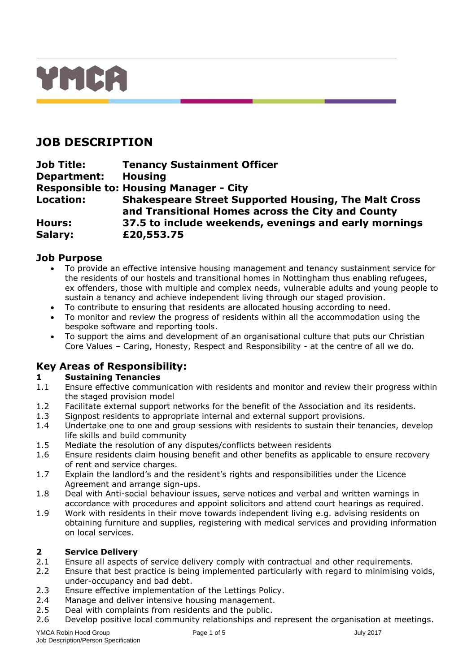

# **JOB DESCRIPTION**

**Job Title: Tenancy Sustainment Officer Department: Housing Responsible to: Housing Manager - City Location: Shakespeare Street Supported Housing, The Malt Cross and Transitional Homes across the City and County Hours: 37.5 to include weekends, evenings and early mornings Salary: £20,553.75** 

## **Job Purpose**

- To provide an effective intensive housing management and tenancy sustainment service for the residents of our hostels and transitional homes in Nottingham thus enabling refugees, ex offenders, those with multiple and complex needs, vulnerable adults and young people to sustain a tenancy and achieve independent living through our staged provision.
- To contribute to ensuring that residents are allocated housing according to need.
- To monitor and review the progress of residents within all the accommodation using the bespoke software and reporting tools.
- To support the aims and development of an organisational culture that puts our Christian Core Values – Caring, Honesty, Respect and Responsibility - at the centre of all we do.

# **Key Areas of Responsibility:**

## **1 Sustaining Tenancies**

- 1.1 Ensure effective communication with residents and monitor and review their progress within the staged provision model
- 1.2 Facilitate external support networks for the benefit of the Association and its residents.
- 1.3 Signpost residents to appropriate internal and external support provisions.
- 1.4 Undertake one to one and group sessions with residents to sustain their tenancies, develop life skills and build community
- 1.5 Mediate the resolution of any disputes/conflicts between residents
- 1.6 Ensure residents claim housing benefit and other benefits as applicable to ensure recovery of rent and service charges.
- 1.7 Explain the landlord's and the resident's rights and responsibilities under the Licence Agreement and arrange sign-ups.
- 1.8 Deal with Anti-social behaviour issues, serve notices and verbal and written warnings in accordance with procedures and appoint solicitors and attend court hearings as required.
- 1.9 Work with residents in their move towards independent living e.g. advising residents on obtaining furniture and supplies, registering with medical services and providing information on local services.

## **2 Service Delivery**

- 2.1 Ensure all aspects of service delivery comply with contractual and other requirements.
- 2.2 Ensure that best practice is being implemented particularly with regard to minimising voids, under-occupancy and bad debt.
- 2.3 Ensure effective implementation of the Lettings Policy.
- 2.4 Manage and deliver intensive housing management.
- 2.5 Deal with complaints from residents and the public.
- 2.6 Develop positive local community relationships and represent the organisation at meetings.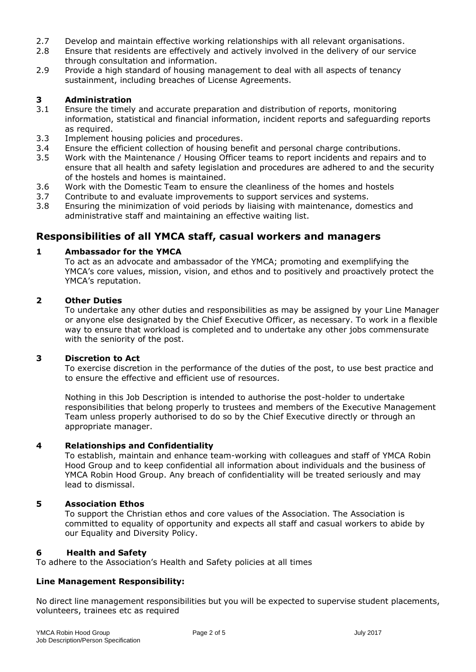- 2.7 Develop and maintain effective working relationships with all relevant organisations.
- 2.8 Ensure that residents are effectively and actively involved in the delivery of our service through consultation and information.
- 2.9 Provide a high standard of housing management to deal with all aspects of tenancy sustainment, including breaches of License Agreements.

#### **3 Administration**

- 3.1 Ensure the timely and accurate preparation and distribution of reports, monitoring information, statistical and financial information, incident reports and safeguarding reports as required.
- 3.3 Implement housing policies and procedures.
- 3.4 Ensure the efficient collection of housing benefit and personal charge contributions.
- 3.5 Work with the Maintenance / Housing Officer teams to report incidents and repairs and to ensure that all health and safety legislation and procedures are adhered to and the security of the hostels and homes is maintained.
- 3.6 Work with the Domestic Team to ensure the cleanliness of the homes and hostels
- 3.7 Contribute to and evaluate improvements to support services and systems.
- 3.8 Ensuring the minimization of void periods by liaising with maintenance, domestics and administrative staff and maintaining an effective waiting list.

## **Responsibilities of all YMCA staff, casual workers and managers**

#### **1 Ambassador for the YMCA**

To act as an advocate and ambassador of the YMCA; promoting and exemplifying the YMCA's core values, mission, vision, and ethos and to positively and proactively protect the YMCA's reputation.

#### **2 Other Duties**

To undertake any other duties and responsibilities as may be assigned by your Line Manager or anyone else designated by the Chief Executive Officer, as necessary. To work in a flexible way to ensure that workload is completed and to undertake any other jobs commensurate with the seniority of the post.

#### **3 Discretion to Act**

To exercise discretion in the performance of the duties of the post, to use best practice and to ensure the effective and efficient use of resources.

Nothing in this Job Description is intended to authorise the post-holder to undertake responsibilities that belong properly to trustees and members of the Executive Management Team unless properly authorised to do so by the Chief Executive directly or through an appropriate manager.

#### **4 Relationships and Confidentiality**

To establish, maintain and enhance team-working with colleagues and staff of YMCA Robin Hood Group and to keep confidential all information about individuals and the business of YMCA Robin Hood Group. Any breach of confidentiality will be treated seriously and may lead to dismissal.

#### **5 Association Ethos**

To support the Christian ethos and core values of the Association. The Association is committed to equality of opportunity and expects all staff and casual workers to abide by our Equality and Diversity Policy.

#### **6 Health and Safety**

To adhere to the Association's Health and Safety policies at all times

## **Line Management Responsibility:**

No direct line management responsibilities but you will be expected to supervise student placements, volunteers, trainees etc as required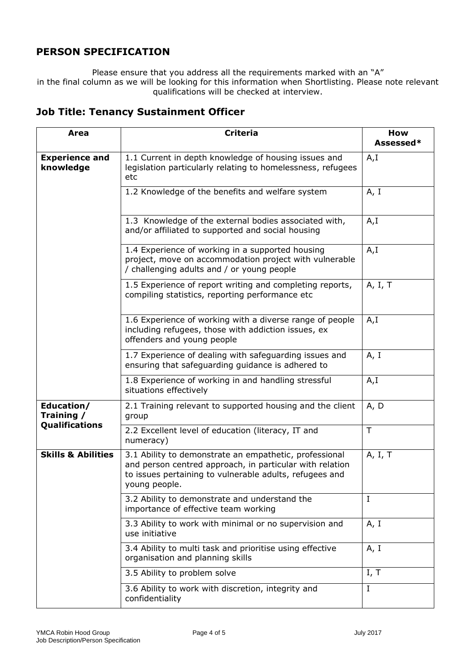## **PERSON SPECIFICATION**

Please ensure that you address all the requirements marked with an "A" in the final column as we will be looking for this information when Shortlisting. Please note relevant qualifications will be checked at interview.

| Area                                              | <b>Criteria</b>                                                                                                                                                                                | How<br>Assessed* |
|---------------------------------------------------|------------------------------------------------------------------------------------------------------------------------------------------------------------------------------------------------|------------------|
| <b>Experience and</b><br>knowledge                | 1.1 Current in depth knowledge of housing issues and<br>legislation particularly relating to homelessness, refugees<br>etc                                                                     | A,I              |
|                                                   | 1.2 Knowledge of the benefits and welfare system                                                                                                                                               | A, I             |
|                                                   | 1.3 Knowledge of the external bodies associated with,<br>and/or affiliated to supported and social housing                                                                                     | A, I             |
|                                                   | 1.4 Experience of working in a supported housing<br>project, move on accommodation project with vulnerable<br>/ challenging adults and / or young people                                       | A, I             |
|                                                   | 1.5 Experience of report writing and completing reports,<br>compiling statistics, reporting performance etc                                                                                    | A, I, T          |
|                                                   | 1.6 Experience of working with a diverse range of people<br>including refugees, those with addiction issues, ex<br>offenders and young people                                                  | A,I              |
|                                                   | 1.7 Experience of dealing with safeguarding issues and<br>ensuring that safeguarding guidance is adhered to                                                                                    | A, I             |
|                                                   | 1.8 Experience of working in and handling stressful<br>situations effectively                                                                                                                  | A, I             |
| Education/<br>Training /<br><b>Qualifications</b> | 2.1 Training relevant to supported housing and the client<br>group                                                                                                                             | A, D             |
|                                                   | 2.2 Excellent level of education (literacy, IT and<br>numeracy)                                                                                                                                | T                |
| <b>Skills &amp; Abilities</b>                     | 3.1 Ability to demonstrate an empathetic, professional<br>and person centred approach, in particular with relation<br>to issues pertaining to vulnerable adults, refugees and<br>young people. | A, I, T          |
|                                                   | 3.2 Ability to demonstrate and understand the<br>importance of effective team working                                                                                                          | $\mathbf I$      |
|                                                   | 3.3 Ability to work with minimal or no supervision and<br>use initiative                                                                                                                       | A, I             |
|                                                   | 3.4 Ability to multi task and prioritise using effective<br>organisation and planning skills                                                                                                   | A, I             |
|                                                   | 3.5 Ability to problem solve                                                                                                                                                                   | I, T             |
|                                                   | 3.6 Ability to work with discretion, integrity and<br>confidentiality                                                                                                                          | Ι.               |

## **Job Title: Tenancy Sustainment Officer**